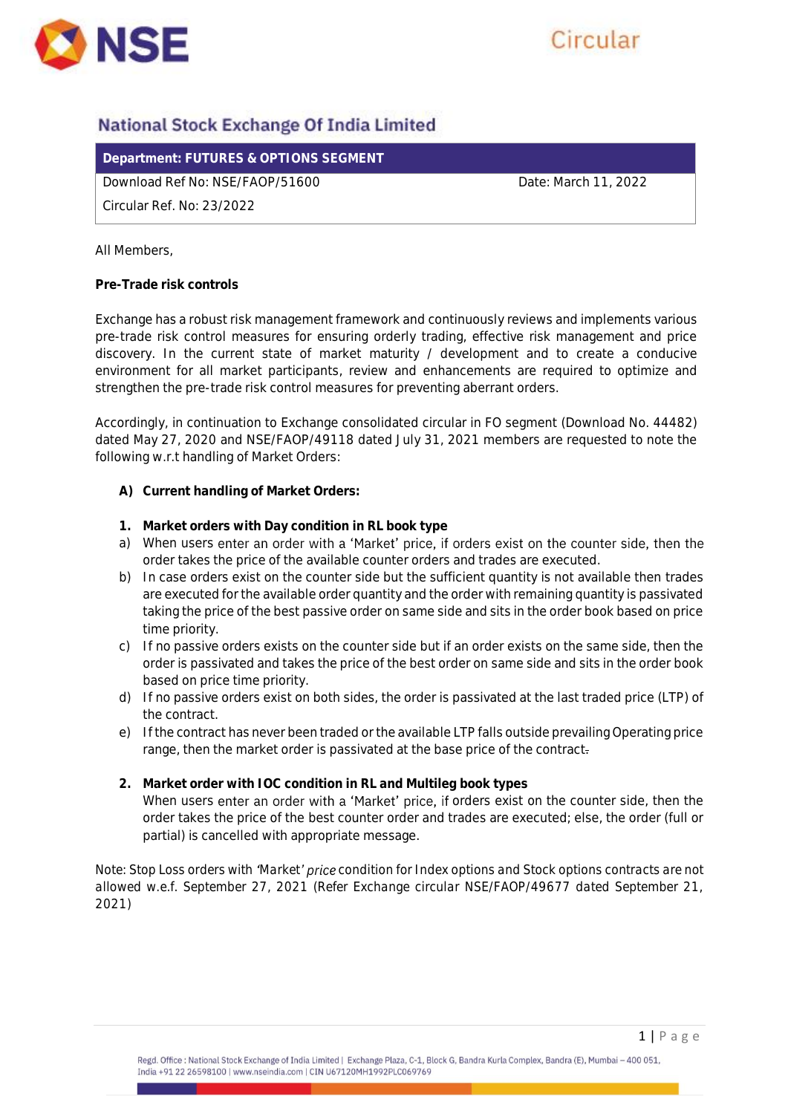

## **National Stock Exchange Of India Limited**

**Department: FUTURES & OPTIONS SEGMENT**

Download Ref No: NSE/FAOP/51600 Date: March 11, 2022

Circular Ref. No: 23/2022

All Members,

**Pre-Trade risk controls** 

Exchange has a robust risk management framework and continuously reviews and implements various pre-trade risk control measures for ensuring orderly trading, effective risk management and price discovery. In the current state of market maturity / development and to create a conducive environment for all market participants, review and enhancements are required to optimize and strengthen the pre-trade risk control measures for preventing aberrant orders.

Accordingly, in continuation to Exchange consolidated circular in FO segment (Download No. 44482) dated May 27, 2020 and NSE/FAOP/49118 dated July 31, 2021 members are requested to note the following w.r.t handling of Market Orders:

- **A) Current handling of Market Orders:**
- **1. Market orders with Day condition in RL book type**
- a) When users enter an order with a 'Market' price, if orders exist on the counter side, then the order takes the price of the available counter orders and trades are executed.
- b) In case orders exist on the counter side but the sufficient quantity is not available then trades are executed for the available order quantity and the order with remaining quantity is passivated taking the price of the best passive order on same side and sits in the order book based on price time priority.
- c) If no passive orders exists on the counter side but if an order exists on the same side, then the order is passivated and takes the price of the best order on same side and sits in the order book based on price time priority.
- d) If no passive orders exist on both sides, the order is passivated at the last traded price (LTP) of the contract.
- e) If the contract has never been traded or the available LTP falls outside prevailing Operating price range, then the market order is passivated at the base price of the contract.
- **2. Market order with IOC condition in RL and Multileg book types** When users enter an order with a 'Market' price, if orders exist on the counter side, then the order takes the price of the best counter order and trades are executed; else, the order (full or partial) is cancelled with appropriate message.

*Note: Stop Loss orders with Market condition for Index options and Stock options contracts are not allowed w.e.f. September 27, 2021 (Refer Exchange circular NSE/FAOP/49677 dated September 21, 2021)*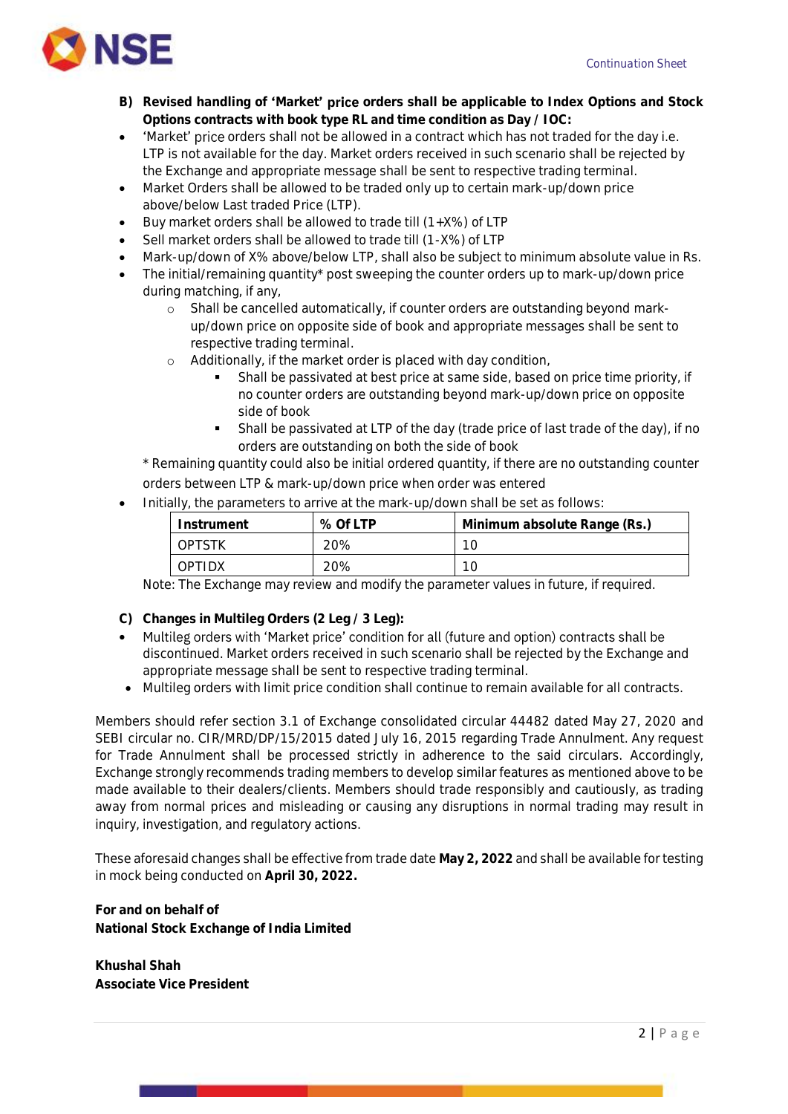- **B) Revised handling of Market orders shall be applicable to Index Options and Stock Options contracts with book type RL and time condition as Day / IOC:**
- 'Market' price orders shall not be allowed in a contract which has not traded for the day i.e. LTP is not available for the day. Market orders received in such scenario shall be rejected by the Exchange and appropriate message shall be sent to respective trading terminal.
- Market Orders shall be allowed to be traded only up to certain mark-up/down price above/below Last traded Price (LTP).
- Buy market orders shall be allowed to trade till (1+X%) of LTP
- Sell market orders shall be allowed to trade till (1-X%) of LTP
- Mark-up/down of X% above/below LTP, shall also be subject to minimum absolute value in Rs.
- The initial/remaining quantity\* post sweeping the counter orders up to mark-up/down price during matching, if any,
	- o Shall be cancelled automatically, if counter orders are outstanding beyond markup/down price on opposite side of book and appropriate messages shall be sent to respective trading terminal.
	- o Additionally, if the market order is placed with day condition,
		- Shall be passivated at best price at same side, based on price time priority, if no counter orders are outstanding beyond mark-up/down price on opposite side of book
		- Shall be passivated at LTP of the day (trade price of last trade of the day), if no orders are outstanding on both the side of book

\* Remaining quantity could also be initial ordered quantity, if there are no outstanding counter orders between LTP & mark-up/down price when order was entered

• Initially, the parameters to arrive at the mark-up/down shall be set as follows:

| Instrument | % Of LTP | Minimum absolute Range (Rs.) |
|------------|----------|------------------------------|
| OPTSTK     | 20%      | 10                           |
| OPTIDX     | 20%      | 10                           |

Note: The Exchange may review and modify the parameter values in future, if required.

- **C) Changes in Multileg Orders (2 Leg / 3 Leg):**
- Multileg orders with 'Market price' condition for all (future and option) contracts shall be discontinued. Market orders received in such scenario shall be rejected by the Exchange and appropriate message shall be sent to respective trading terminal.
- Multileg orders with limit price condition shall continue to remain available for all contracts.

Members should refer section 3.1 of Exchange consolidated circular 44482 dated May 27, 2020 and SEBI circular no. CIR/MRD/DP/15/2015 dated July 16, 2015 regarding Trade Annulment. Any request for Trade Annulment shall be processed strictly in adherence to the said circulars. Accordingly, Exchange strongly recommends trading members to develop similar features as mentioned above to be made available to their dealers/clients. Members should trade responsibly and cautiously, as trading away from normal prices and misleading or causing any disruptions in normal trading may result in inquiry, investigation, and regulatory actions.

These aforesaid changes shall be effective from trade date **May 2, 2022** and shall be available for testing in mock being conducted on **April 30, 2022.**

**For and on behalf of National Stock Exchange of India Limited**

**Khushal Shah Associate Vice President**